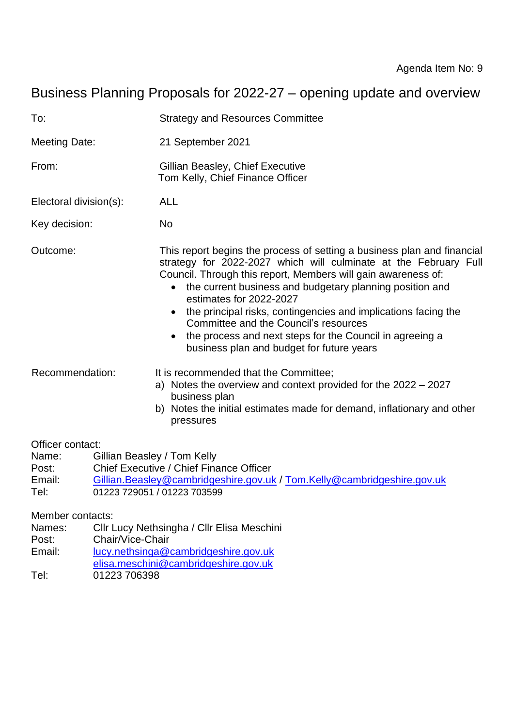# Business Planning Proposals for 2022-27 – opening update and overview

| To:                                          | <b>Strategy and Resources Committee</b>                                                                                                                                                                                                                                                                                                                                                                                                                                                                                              |  |  |
|----------------------------------------------|--------------------------------------------------------------------------------------------------------------------------------------------------------------------------------------------------------------------------------------------------------------------------------------------------------------------------------------------------------------------------------------------------------------------------------------------------------------------------------------------------------------------------------------|--|--|
| Meeting Date:                                | 21 September 2021                                                                                                                                                                                                                                                                                                                                                                                                                                                                                                                    |  |  |
| From:                                        | Gillian Beasley, Chief Executive<br>Tom Kelly, Chief Finance Officer                                                                                                                                                                                                                                                                                                                                                                                                                                                                 |  |  |
| Electoral division(s):                       | <b>ALL</b>                                                                                                                                                                                                                                                                                                                                                                                                                                                                                                                           |  |  |
| Key decision:                                | <b>No</b>                                                                                                                                                                                                                                                                                                                                                                                                                                                                                                                            |  |  |
| Outcome:                                     | This report begins the process of setting a business plan and financial<br>strategy for 2022-2027 which will culminate at the February Full<br>Council. Through this report, Members will gain awareness of:<br>the current business and budgetary planning position and<br>$\bullet$<br>estimates for 2022-2027<br>the principal risks, contingencies and implications facing the<br>Committee and the Council's resources<br>the process and next steps for the Council in agreeing a<br>business plan and budget for future years |  |  |
| Recommendation:                              | It is recommended that the Committee;<br>a) Notes the overview and context provided for the $2022 - 2027$<br>business plan<br>b) Notes the initial estimates made for demand, inflationary and other<br>pressures                                                                                                                                                                                                                                                                                                                    |  |  |
| Officer contact:<br>Name:<br>Post:<br>Email: | Gillian Beasley / Tom Kelly<br>Chief Executive / Chief Finance Officer<br>Gillian.Beasley@cambridgeshire.gov.uk / Tom.Kelly@cambridgeshire.gov.uk                                                                                                                                                                                                                                                                                                                                                                                    |  |  |

Tel: 01223 729051 / 01223 703599

Member contacts:

- Names: Cllr Lucy Nethsingha / Cllr Elisa Meschini
- Post: Chair/Vice-Chair
- Email: [lucy.nethsinga@cambridgeshire.gov.uk](mailto:lucy.nethsinga@cambridgeshire.gov.uk)
- [elisa.meschini@cambridgeshire.gov.uk](mailto:elisa.meschini@cambridgeshire.gov.uk)
- Tel: 01223 706398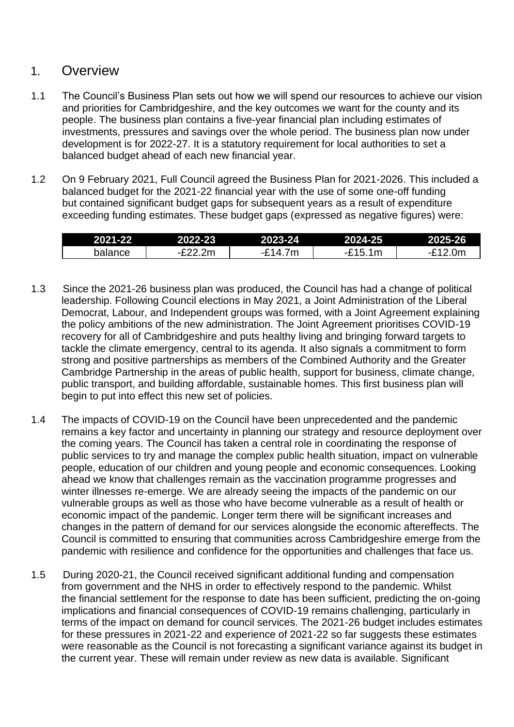#### 1. Overview

- 1.1 The Council's Business Plan sets out how we will spend our resources to achieve our vision and priorities for Cambridgeshire, and the key outcomes we want for the county and its people. The business plan contains a five-year financial plan including estimates of investments, pressures and savings over the whole period. The business plan now under development is for 2022-27. It is a statutory requirement for local authorities to set a balanced budget ahead of each new financial year.
- 1.2 On 9 February 2021, Full Council agreed the Business Plan for 2021-2026. This included a balanced budget for the 2021-22 financial year with the use of some one-off funding but contained significant budget gaps for subsequent years as a result of expenditure exceeding funding estimates. These budget gaps (expressed as negative figures) were:

| 2021-22 | 2022-23             | 2023-24                                  | 2024-25 | 2025-26         |
|---------|---------------------|------------------------------------------|---------|-----------------|
| balance | <sub>ົ</sub> `22.2m | 7 <sub>m</sub><br>$\lambda$<br>1⊿<br>- - | `15.1m  | .0 <sub>m</sub> |

- 1.3 Since the 2021-26 business plan was produced, the Council has had a change of political leadership. Following Council elections in May 2021, a Joint Administration of the Liberal Democrat, Labour, and Independent groups was formed, with a Joint Agreement explaining the policy ambitions of the new administration. The Joint Agreement prioritises COVID-19 recovery for all of Cambridgeshire and puts healthy living and bringing forward targets to tackle the climate emergency, central to its agenda. It also signals a commitment to form strong and positive partnerships as members of the Combined Authority and the Greater Cambridge Partnership in the areas of public health, support for business, climate change, public transport, and building affordable, sustainable homes. This first business plan will begin to put into effect this new set of policies.
- 1.4 The impacts of COVID-19 on the Council have been unprecedented and the pandemic remains a key factor and uncertainty in planning our strategy and resource deployment over the coming years. The Council has taken a central role in coordinating the response of public services to try and manage the complex public health situation, impact on vulnerable people, education of our children and young people and economic consequences. Looking ahead we know that challenges remain as the vaccination programme progresses and winter illnesses re-emerge. We are already seeing the impacts of the pandemic on our vulnerable groups as well as those who have become vulnerable as a result of health or economic impact of the pandemic. Longer term there will be significant increases and changes in the pattern of demand for our services alongside the economic aftereffects. The Council is committed to ensuring that communities across Cambridgeshire emerge from the pandemic with resilience and confidence for the opportunities and challenges that face us.
- 1.5 During 2020-21, the Council received significant additional funding and compensation from government and the NHS in order to effectively respond to the pandemic. Whilst the financial settlement for the response to date has been sufficient, predicting the on-going implications and financial consequences of COVID-19 remains challenging, particularly in terms of the impact on demand for council services. The 2021-26 budget includes estimates for these pressures in 2021-22 and experience of 2021-22 so far suggests these estimates were reasonable as the Council is not forecasting a significant variance against its budget in the current year. These will remain under review as new data is available. Significant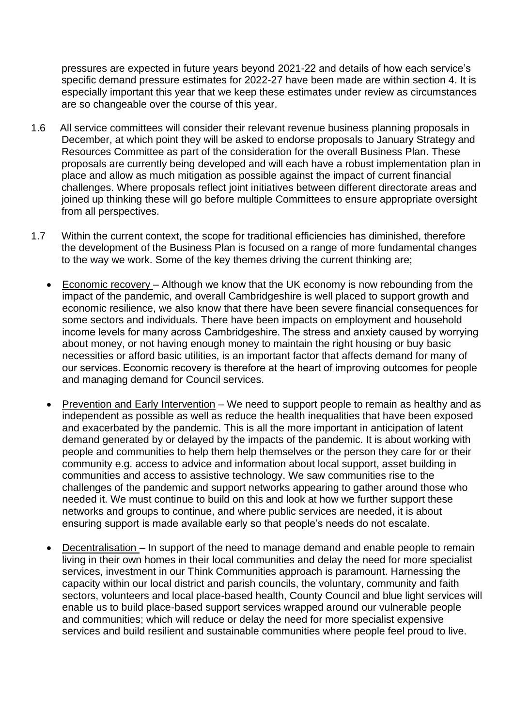pressures are expected in future years beyond 2021-22 and details of how each service's specific demand pressure estimates for 2022-27 have been made are within section 4. It is especially important this year that we keep these estimates under review as circumstances are so changeable over the course of this year.

- 1.6 All service committees will consider their relevant revenue business planning proposals in December, at which point they will be asked to endorse proposals to January Strategy and Resources Committee as part of the consideration for the overall Business Plan. These proposals are currently being developed and will each have a robust implementation plan in place and allow as much mitigation as possible against the impact of current financial challenges. Where proposals reflect joint initiatives between different directorate areas and joined up thinking these will go before multiple Committees to ensure appropriate oversight from all perspectives.
- 1.7 Within the current context, the scope for traditional efficiencies has diminished, therefore the development of the Business Plan is focused on a range of more fundamental changes to the way we work. Some of the key themes driving the current thinking are;
	- Economic recovery Although we know that the UK economy is now rebounding from the impact of the pandemic, and overall Cambridgeshire is well placed to support growth and economic resilience, we also know that there have been severe financial consequences for some sectors and individuals. There have been impacts on employment and household income levels for many across Cambridgeshire. The stress and anxiety caused by worrying about money, or not having enough money to maintain the right housing or buy basic necessities or afford basic utilities, is an important factor that affects demand for many of our services. Economic recovery is therefore at the heart of improving outcomes for people and managing demand for Council services.
	- Prevention and Early Intervention We need to support people to remain as healthy and as independent as possible as well as reduce the health inequalities that have been exposed and exacerbated by the pandemic. This is all the more important in anticipation of latent demand generated by or delayed by the impacts of the pandemic. It is about working with people and communities to help them help themselves or the person they care for or their community e.g. access to advice and information about local support, asset building in communities and access to assistive technology. We saw communities rise to the challenges of the pandemic and support networks appearing to gather around those who needed it. We must continue to build on this and look at how we further support these networks and groups to continue, and where public services are needed, it is about ensuring support is made available early so that people's needs do not escalate.
	- Decentralisation In support of the need to manage demand and enable people to remain living in their own homes in their local communities and delay the need for more specialist services, investment in our Think Communities approach is paramount. Harnessing the capacity within our local district and parish councils, the voluntary, community and faith sectors, volunteers and local place-based health, County Council and blue light services will enable us to build place-based support services wrapped around our vulnerable people and communities; which will reduce or delay the need for more specialist expensive services and build resilient and sustainable communities where people feel proud to live.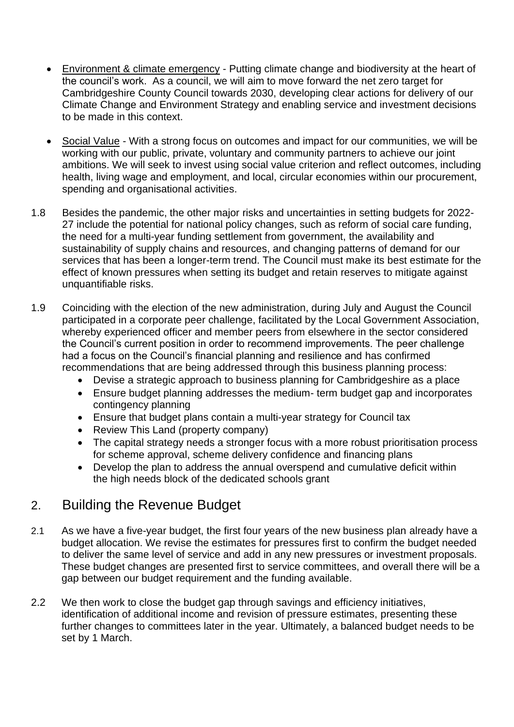- Environment & climate emergency Putting climate change and biodiversity at the heart of the council's work. As a council, we will aim to move forward the net zero target for Cambridgeshire County Council towards 2030, developing clear actions for delivery of our Climate Change and Environment Strategy and enabling service and investment decisions to be made in this context.
- Social Value With a strong focus on outcomes and impact for our communities, we will be working with our public, private, voluntary and community partners to achieve our joint ambitions. We will seek to invest using social value criterion and reflect outcomes, including health, living wage and employment, and local, circular economies within our procurement, spending and organisational activities.
- 1.8 Besides the pandemic, the other major risks and uncertainties in setting budgets for 2022- 27 include the potential for national policy changes, such as reform of social care funding, the need for a multi-year funding settlement from government, the availability and sustainability of supply chains and resources, and changing patterns of demand for our services that has been a longer-term trend. The Council must make its best estimate for the effect of known pressures when setting its budget and retain reserves to mitigate against unquantifiable risks.
- 1.9 Coinciding with the election of the new administration, during July and August the Council participated in a corporate peer challenge, facilitated by the Local Government Association, whereby experienced officer and member peers from elsewhere in the sector considered the Council's current position in order to recommend improvements. The peer challenge had a focus on the Council's financial planning and resilience and has confirmed recommendations that are being addressed through this business planning process:
	- Devise a strategic approach to business planning for Cambridgeshire as a place
	- Ensure budget planning addresses the medium- term budget gap and incorporates contingency planning
	- Ensure that budget plans contain a multi-year strategy for Council tax
	- Review This Land (property company)
	- The capital strategy needs a stronger focus with a more robust prioritisation process for scheme approval, scheme delivery confidence and financing plans
	- Develop the plan to address the annual overspend and cumulative deficit within the high needs block of the dedicated schools grant

# 2. Building the Revenue Budget

- 2.1 As we have a five-year budget, the first four years of the new business plan already have a budget allocation. We revise the estimates for pressures first to confirm the budget needed to deliver the same level of service and add in any new pressures or investment proposals. These budget changes are presented first to service committees, and overall there will be a gap between our budget requirement and the funding available.
- 2.2 We then work to close the budget gap through savings and efficiency initiatives, identification of additional income and revision of pressure estimates, presenting these further changes to committees later in the year. Ultimately, a balanced budget needs to be set by 1 March.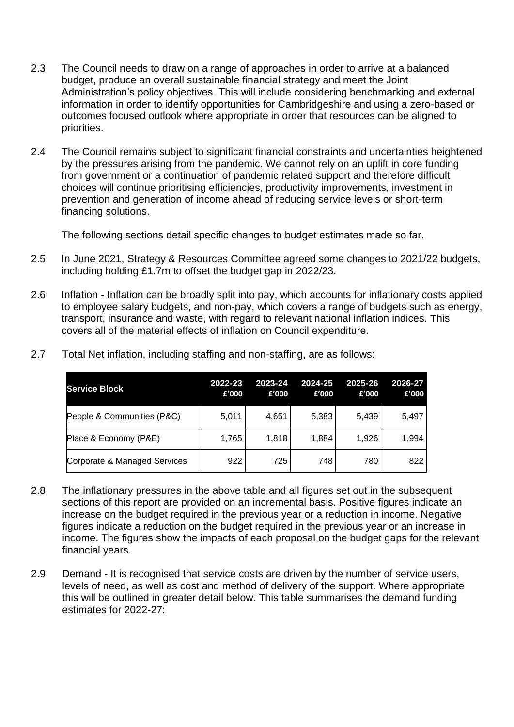- 2.3 The Council needs to draw on a range of approaches in order to arrive at a balanced budget, produce an overall sustainable financial strategy and meet the Joint Administration's policy objectives. This will include considering benchmarking and external information in order to identify opportunities for Cambridgeshire and using a zero-based or outcomes focused outlook where appropriate in order that resources can be aligned to priorities.
- 2.4 The Council remains subject to significant financial constraints and uncertainties heightened by the pressures arising from the pandemic. We cannot rely on an uplift in core funding from government or a continuation of pandemic related support and therefore difficult choices will continue prioritising efficiencies, productivity improvements, investment in prevention and generation of income ahead of reducing service levels or short-term financing solutions.

The following sections detail specific changes to budget estimates made so far.

- 2.5 In June 2021, Strategy & Resources Committee agreed some changes to 2021/22 budgets, including holding £1.7m to offset the budget gap in 2022/23.
- 2.6 Inflation Inflation can be broadly split into pay, which accounts for inflationary costs applied to employee salary budgets, and non-pay, which covers a range of budgets such as energy, transport, insurance and waste, with regard to relevant national inflation indices. This covers all of the material effects of inflation on Council expenditure.

| <b>Service Block</b>         | 2022-23<br>£'000 | 2023-24<br>f'000 | 2024-25<br>£'000 | 2025-26<br>f'000 | 2026-27<br>£'000 |
|------------------------------|------------------|------------------|------------------|------------------|------------------|
| People & Communities (P&C)   | 5,011            | 4,651            | 5,383            | 5,439            | 5,497            |
| Place & Economy (P&E)        | 1,765            | 1,818            | 1,884            | 1,926            | 1,994            |
| Corporate & Managed Services | 922              | 725              | 748              | 780              | 822              |

2.7 Total Net inflation, including staffing and non-staffing, are as follows:

- 2.8 The inflationary pressures in the above table and all figures set out in the subsequent sections of this report are provided on an incremental basis. Positive figures indicate an increase on the budget required in the previous year or a reduction in income. Negative figures indicate a reduction on the budget required in the previous year or an increase in income. The figures show the impacts of each proposal on the budget gaps for the relevant financial years.
- 2.9 Demand It is recognised that service costs are driven by the number of service users, levels of need, as well as cost and method of delivery of the support. Where appropriate this will be outlined in greater detail below. This table summarises the demand funding estimates for 2022-27: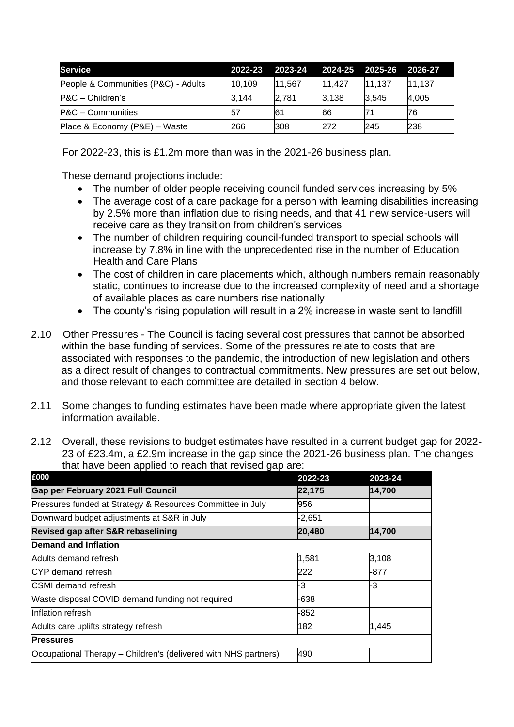| <b>Service</b>                      | 2022-23 | 2023-24 | 2024-25 2025-26 2026-27 |        |        |
|-------------------------------------|---------|---------|-------------------------|--------|--------|
| People & Communities (P&C) - Adults | 10.109  | 11.567  | 11.427                  | 11.137 | 11.137 |
| P&C - Children's                    | 3.144   | 2.781   | 3.138                   | 3.545  | 4,005  |
| P&C - Communities                   | 57      | 61      | 66                      |        | 76     |
| Place & Economy (P&E) - Waste       | 266     | 308     | 272                     | 245    | 238    |

For 2022-23, this is £1.2m more than was in the 2021-26 business plan.

These demand projections include:

- The number of older people receiving council funded services increasing by 5%
- The average cost of a care package for a person with learning disabilities increasing by 2.5% more than inflation due to rising needs, and that 41 new service-users will receive care as they transition from children's services
- The number of children requiring council-funded transport to special schools will increase by 7.8% in line with the unprecedented rise in the number of Education Health and Care Plans
- The cost of children in care placements which, although numbers remain reasonably static, continues to increase due to the increased complexity of need and a shortage of available places as care numbers rise nationally
- The county's rising population will result in a 2% increase in waste sent to landfill
- 2.10 Other Pressures The Council is facing several cost pressures that cannot be absorbed within the base funding of services. Some of the pressures relate to costs that are associated with responses to the pandemic, the introduction of new legislation and others as a direct result of changes to contractual commitments. New pressures are set out below, and those relevant to each committee are detailed in section 4 below.
- 2.11 Some changes to funding estimates have been made where appropriate given the latest information available.
- 2.12 Overall, these revisions to budget estimates have resulted in a current budget gap for 2022- 23 of £23.4m, a £2.9m increase in the gap since the 2021-26 business plan. The changes that have been applied to reach that revised gap are:

| £000                                                            | 2022-23  | 2023-24 |
|-----------------------------------------------------------------|----------|---------|
| Gap per February 2021 Full Council                              | 22,175   | 14,700  |
| Pressures funded at Strategy & Resources Committee in July      | 956      |         |
| Downward budget adjustments at S&R in July                      | $-2,651$ |         |
| Revised gap after S&R rebaselining                              | 20,480   | 14,700  |
| <b>Demand and Inflation</b>                                     |          |         |
| Adults demand refresh                                           | 1,581    | 3,108   |
| CYP demand refresh                                              | 222      | -877    |
| <b>CSMI</b> demand refresh                                      | -3       | -3      |
| Waste disposal COVID demand funding not required                | -638     |         |
| Inflation refresh                                               | $-852$   |         |
| Adults care uplifts strategy refresh                            | 182      | 1,445   |
| <b>Pressures</b>                                                |          |         |
| Occupational Therapy – Children's (delivered with NHS partners) | 490      |         |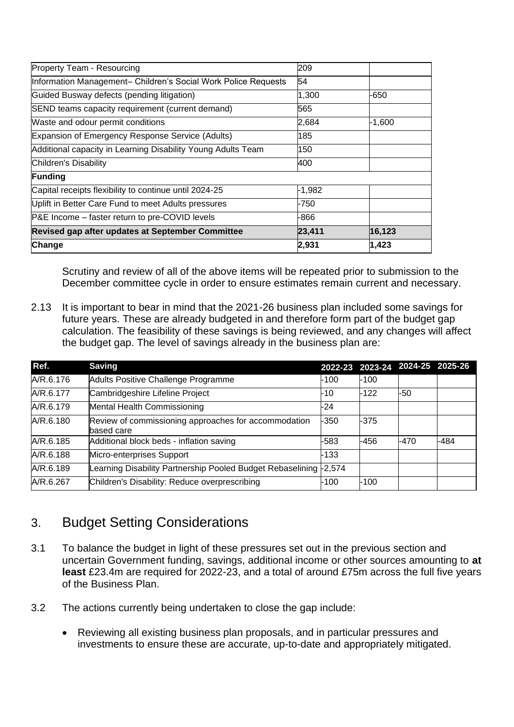| Change                                                         | 2,931    | 1,423    |
|----------------------------------------------------------------|----------|----------|
| Revised gap after updates at September Committee               | 23,411   | 16,123   |
| P&E Income – faster return to pre-COVID levels                 | -866     |          |
| Uplift in Better Care Fund to meet Adults pressures            | -750     |          |
| Capital receipts flexibility to continue until 2024-25         | $-1,982$ |          |
| <b>Funding</b>                                                 |          |          |
| Children's Disability                                          | 400      |          |
| Additional capacity in Learning Disability Young Adults Team   | 150      |          |
| Expansion of Emergency Response Service (Adults)               | 185      |          |
| Waste and odour permit conditions                              | 2,684    | $-1,600$ |
| SEND teams capacity requirement (current demand)               | 565      |          |
| Guided Busway defects (pending litigation)                     | 1,300    | -650     |
| Information Management- Children's Social Work Police Requests | 54       |          |
| Property Team - Resourcing                                     | 209      |          |

Scrutiny and review of all of the above items will be repeated prior to submission to the December committee cycle in order to ensure estimates remain current and necessary.

2.13 It is important to bear in mind that the 2021-26 business plan included some savings for future years. These are already budgeted in and therefore form part of the budget gap calculation. The feasibility of these savings is being reviewed, and any changes will affect the budget gap. The level of savings already in the business plan are:

| Ref.      | <b>Saving</b>                                                      |          |        | 2022-23 2023-24 2024-25 2025-26 |      |
|-----------|--------------------------------------------------------------------|----------|--------|---------------------------------|------|
| A/R.6.176 | Adults Positive Challenge Programme                                | -100     | $-100$ |                                 |      |
| A/R.6.177 | Cambridgeshire Lifeline Project                                    | -10      | -122   | -50                             |      |
| A/R.6.179 | Mental Health Commissioning                                        | -24      |        |                                 |      |
| A/R.6.180 | Review of commissioning approaches for accommodation<br>based care | -350     | -375   |                                 |      |
| A/R.6.185 | Additional block beds - inflation saving                           | -583     | -456   | -470                            | -484 |
| A/R.6.188 | Micro-enterprises Support                                          | -133     |        |                                 |      |
| A/R.6.189 | Learning Disability Partnership Pooled Budget Rebaselining         | $-2,574$ |        |                                 |      |
| A/R.6.267 | Children's Disability: Reduce overprescribing                      | -100     | -100   |                                 |      |

# 3. Budget Setting Considerations

- 3.1 To balance the budget in light of these pressures set out in the previous section and uncertain Government funding, savings, additional income or other sources amounting to **at least** £23.4m are required for 2022-23, and a total of around £75m across the full five years of the Business Plan.
- 3.2 The actions currently being undertaken to close the gap include:
	- Reviewing all existing business plan proposals, and in particular pressures and investments to ensure these are accurate, up-to-date and appropriately mitigated.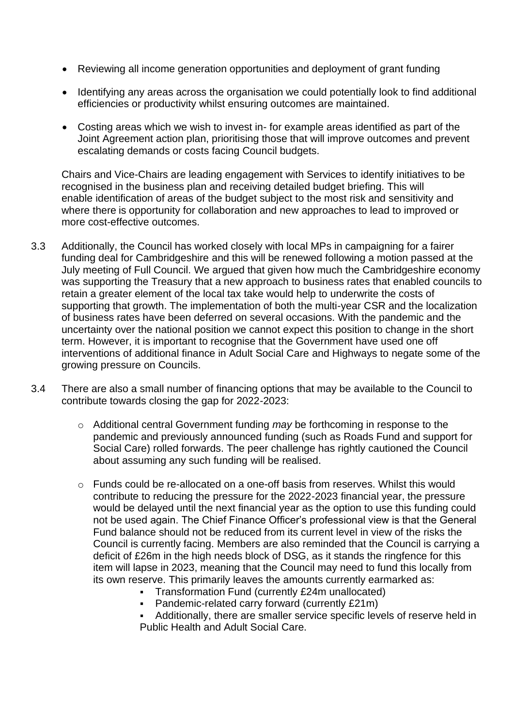- Reviewing all income generation opportunities and deployment of grant funding
- Identifying any areas across the organisation we could potentially look to find additional efficiencies or productivity whilst ensuring outcomes are maintained.
- Costing areas which we wish to invest in- for example areas identified as part of the Joint Agreement action plan, prioritising those that will improve outcomes and prevent escalating demands or costs facing Council budgets.

Chairs and Vice-Chairs are leading engagement with Services to identify initiatives to be recognised in the business plan and receiving detailed budget briefing. This will enable identification of areas of the budget subject to the most risk and sensitivity and where there is opportunity for collaboration and new approaches to lead to improved or more cost-effective outcomes.

- 3.3 Additionally, the Council has worked closely with local MPs in campaigning for a fairer funding deal for Cambridgeshire and this will be renewed following a motion passed at the July meeting of Full Council. We argued that given how much the Cambridgeshire economy was supporting the Treasury that a new approach to business rates that enabled councils to retain a greater element of the local tax take would help to underwrite the costs of supporting that growth. The implementation of both the multi-year CSR and the localization of business rates have been deferred on several occasions. With the pandemic and the uncertainty over the national position we cannot expect this position to change in the short term. However, it is important to recognise that the Government have used one off interventions of additional finance in Adult Social Care and Highways to negate some of the growing pressure on Councils.
- 3.4 There are also a small number of financing options that may be available to the Council to contribute towards closing the gap for 2022-2023:
	- o Additional central Government funding *may* be forthcoming in response to the pandemic and previously announced funding (such as Roads Fund and support for Social Care) rolled forwards. The peer challenge has rightly cautioned the Council about assuming any such funding will be realised.
	- o Funds could be re-allocated on a one-off basis from reserves. Whilst this would contribute to reducing the pressure for the 2022-2023 financial year, the pressure would be delayed until the next financial year as the option to use this funding could not be used again. The Chief Finance Officer's professional view is that the General Fund balance should not be reduced from its current level in view of the risks the Council is currently facing. Members are also reminded that the Council is carrying a deficit of £26m in the high needs block of DSG, as it stands the ringfence for this item will lapse in 2023, meaning that the Council may need to fund this locally from its own reserve. This primarily leaves the amounts currently earmarked as:
		- Transformation Fund (currently £24m unallocated)
		- **Pandemic-related carry forward (currently £21m)**
		- Additionally, there are smaller service specific levels of reserve held in Public Health and Adult Social Care.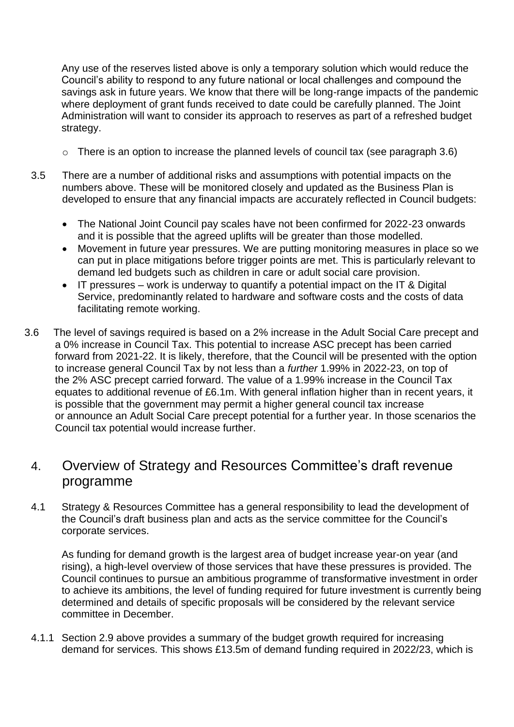Any use of the reserves listed above is only a temporary solution which would reduce the Council's ability to respond to any future national or local challenges and compound the savings ask in future years. We know that there will be long-range impacts of the pandemic where deployment of grant funds received to date could be carefully planned. The Joint Administration will want to consider its approach to reserves as part of a refreshed budget strategy.

- $\circ$  There is an option to increase the planned levels of council tax (see paragraph 3.6)
- 3.5 There are a number of additional risks and assumptions with potential impacts on the numbers above. These will be monitored closely and updated as the Business Plan is developed to ensure that any financial impacts are accurately reflected in Council budgets:
	- The National Joint Council pay scales have not been confirmed for 2022-23 onwards and it is possible that the agreed uplifts will be greater than those modelled.
	- Movement in future year pressures. We are putting monitoring measures in place so we can put in place mitigations before trigger points are met. This is particularly relevant to demand led budgets such as children in care or adult social care provision.
	- IT pressures work is underway to quantify a potential impact on the IT & Digital Service, predominantly related to hardware and software costs and the costs of data facilitating remote working.
- 3.6 The level of savings required is based on a 2% increase in the Adult Social Care precept and a 0% increase in Council Tax. This potential to increase ASC precept has been carried forward from 2021-22. It is likely, therefore, that the Council will be presented with the option to increase general Council Tax by not less than a *further* 1.99% in 2022-23, on top of the 2% ASC precept carried forward. The value of a 1.99% increase in the Council Tax equates to additional revenue of £6.1m. With general inflation higher than in recent years, it is possible that the government may permit a higher general council tax increase or announce an Adult Social Care precept potential for a further year. In those scenarios the Council tax potential would increase further.

# 4. Overview of Strategy and Resources Committee's draft revenue programme

4.1 Strategy & Resources Committee has a general responsibility to lead the development of the Council's draft business plan and acts as the service committee for the Council's corporate services.

As funding for demand growth is the largest area of budget increase year-on year (and rising), a high-level overview of those services that have these pressures is provided. The Council continues to pursue an ambitious programme of transformative investment in order to achieve its ambitions, the level of funding required for future investment is currently being determined and details of specific proposals will be considered by the relevant service committee in December.

4.1.1 Section 2.9 above provides a summary of the budget growth required for increasing demand for services. This shows £13.5m of demand funding required in 2022/23, which is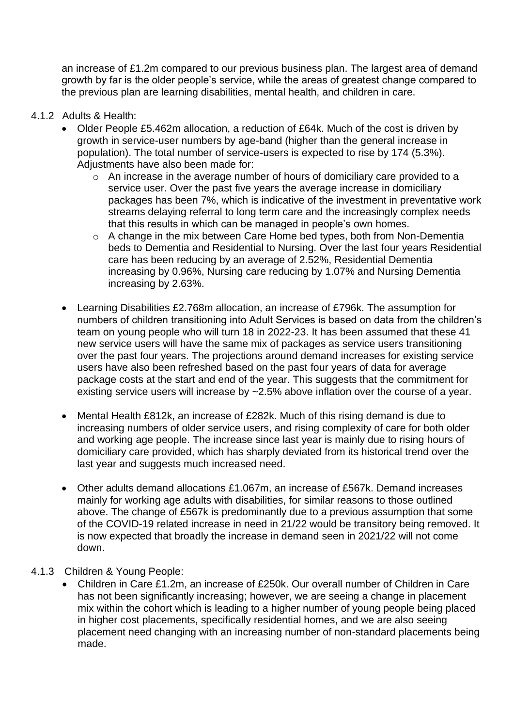an increase of £1.2m compared to our previous business plan. The largest area of demand growth by far is the older people's service, while the areas of greatest change compared to the previous plan are learning disabilities, mental health, and children in care.

- 4.1.2 Adults & Health:
	- Older People £5.462m allocation, a reduction of £64k. Much of the cost is driven by growth in service-user numbers by age-band (higher than the general increase in population). The total number of service-users is expected to rise by 174 (5.3%). Adjustments have also been made for:
		- o An increase in the average number of hours of domiciliary care provided to a service user. Over the past five years the average increase in domiciliary packages has been 7%, which is indicative of the investment in preventative work streams delaying referral to long term care and the increasingly complex needs that this results in which can be managed in people's own homes.
		- o A change in the mix between Care Home bed types, both from Non-Dementia beds to Dementia and Residential to Nursing. Over the last four years Residential care has been reducing by an average of 2.52%, Residential Dementia increasing by 0.96%, Nursing care reducing by 1.07% and Nursing Dementia increasing by 2.63%.
	- Learning Disabilities £2.768m allocation, an increase of £796k. The assumption for numbers of children transitioning into Adult Services is based on data from the children's team on young people who will turn 18 in 2022-23. It has been assumed that these 41 new service users will have the same mix of packages as service users transitioning over the past four years. The projections around demand increases for existing service users have also been refreshed based on the past four years of data for average package costs at the start and end of the year. This suggests that the commitment for existing service users will increase by ~2.5% above inflation over the course of a year.
	- Mental Health £812k, an increase of £282k. Much of this rising demand is due to increasing numbers of older service users, and rising complexity of care for both older and working age people. The increase since last year is mainly due to rising hours of domiciliary care provided, which has sharply deviated from its historical trend over the last year and suggests much increased need.
	- Other adults demand allocations £1.067m, an increase of £567k. Demand increases mainly for working age adults with disabilities, for similar reasons to those outlined above. The change of £567k is predominantly due to a previous assumption that some of the COVID-19 related increase in need in 21/22 would be transitory being removed. It is now expected that broadly the increase in demand seen in 2021/22 will not come down.
- 4.1.3 Children & Young People:
	- Children in Care £1.2m, an increase of £250k. Our overall number of Children in Care has not been significantly increasing; however, we are seeing a change in placement mix within the cohort which is leading to a higher number of young people being placed in higher cost placements, specifically residential homes, and we are also seeing placement need changing with an increasing number of non-standard placements being made.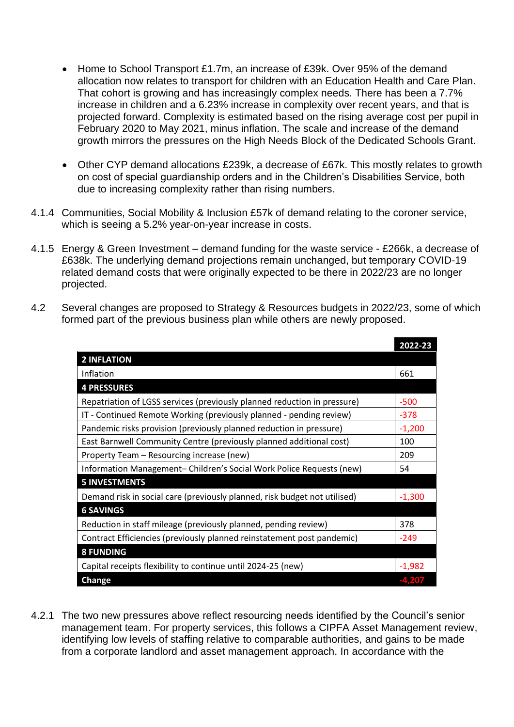- Home to School Transport £1.7m, an increase of £39k. Over 95% of the demand allocation now relates to transport for children with an Education Health and Care Plan. That cohort is growing and has increasingly complex needs. There has been a 7.7% increase in children and a 6.23% increase in complexity over recent years, and that is projected forward. Complexity is estimated based on the rising average cost per pupil in February 2020 to May 2021, minus inflation. The scale and increase of the demand growth mirrors the pressures on the High Needs Block of the Dedicated Schools Grant.
- Other CYP demand allocations £239k, a decrease of £67k. This mostly relates to growth on cost of special guardianship orders and in the Children's Disabilities Service, both due to increasing complexity rather than rising numbers.
- 4.1.4 Communities, Social Mobility & Inclusion £57k of demand relating to the coroner service, which is seeing a 5.2% year-on-year increase in costs.
- 4.1.5 Energy & Green Investment demand funding for the waste service £266k, a decrease of £638k. The underlying demand projections remain unchanged, but temporary COVID-19 related demand costs that were originally expected to be there in 2022/23 are no longer projected.
- 4.2 Several changes are proposed to Strategy & Resources budgets in 2022/23, some of which formed part of the previous business plan while others are newly proposed.

|                                                                           | 2022-23  |
|---------------------------------------------------------------------------|----------|
| <b>2 INFLATION</b>                                                        |          |
| Inflation                                                                 | 661      |
| <b>4 PRESSURES</b>                                                        |          |
| Repatriation of LGSS services (previously planned reduction in pressure)  | $-500$   |
| IT - Continued Remote Working (previously planned - pending review)       | $-378$   |
| Pandemic risks provision (previously planned reduction in pressure)       | $-1,200$ |
| East Barnwell Community Centre (previously planned additional cost)       | 100      |
| Property Team – Resourcing increase (new)                                 | 209      |
| Information Management- Children's Social Work Police Requests (new)      | 54       |
| <b>5 INVESTMENTS</b>                                                      |          |
| Demand risk in social care (previously planned, risk budget not utilised) | $-1,300$ |
| <b>6 SAVINGS</b>                                                          |          |
| Reduction in staff mileage (previously planned, pending review)           | 378      |
| Contract Efficiencies (previously planned reinstatement post pandemic)    | -249     |
| <b>8 FUNDING</b>                                                          |          |
| Capital receipts flexibility to continue until 2024-25 (new)              | $-1,982$ |
| Change                                                                    | -4.207   |

4.2.1 The two new pressures above reflect resourcing needs identified by the Council's senior management team. For property services, this follows a CIPFA Asset Management review, identifying low levels of staffing relative to comparable authorities, and gains to be made from a corporate landlord and asset management approach. In accordance with the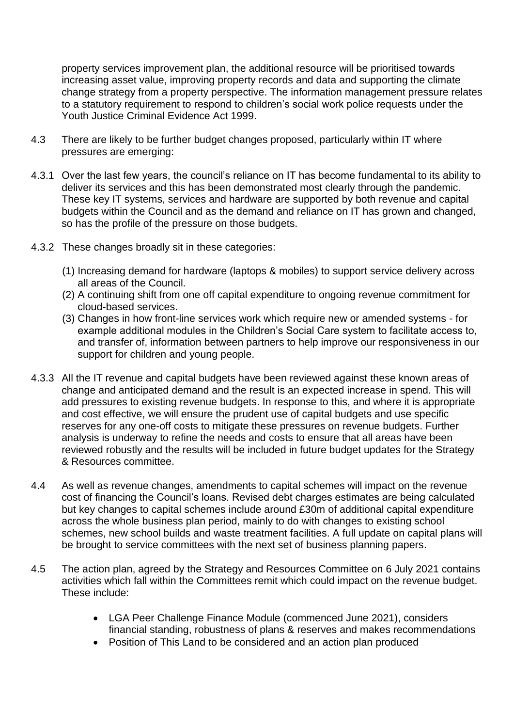property services improvement plan, the additional resource will be prioritised towards increasing asset value, improving property records and data and supporting the climate change strategy from a property perspective. The information management pressure relates to a statutory requirement to respond to children's social work police requests under the Youth Justice Criminal Evidence Act 1999.

- 4.3 There are likely to be further budget changes proposed, particularly within IT where pressures are emerging:
- 4.3.1 Over the last few years, the council's reliance on IT has become fundamental to its ability to deliver its services and this has been demonstrated most clearly through the pandemic. These key IT systems, services and hardware are supported by both revenue and capital budgets within the Council and as the demand and reliance on IT has grown and changed, so has the profile of the pressure on those budgets.
- 4.3.2 These changes broadly sit in these categories:
	- (1) Increasing demand for hardware (laptops & mobiles) to support service delivery across all areas of the Council.
	- (2) A continuing shift from one off capital expenditure to ongoing revenue commitment for cloud-based services.
	- (3) Changes in how front-line services work which require new or amended systems for example additional modules in the Children's Social Care system to facilitate access to, and transfer of, information between partners to help improve our responsiveness in our support for children and young people.
- 4.3.3 All the IT revenue and capital budgets have been reviewed against these known areas of change and anticipated demand and the result is an expected increase in spend. This will add pressures to existing revenue budgets. In response to this, and where it is appropriate and cost effective, we will ensure the prudent use of capital budgets and use specific reserves for any one-off costs to mitigate these pressures on revenue budgets. Further analysis is underway to refine the needs and costs to ensure that all areas have been reviewed robustly and the results will be included in future budget updates for the Strategy & Resources committee.
- 4.4 As well as revenue changes, amendments to capital schemes will impact on the revenue cost of financing the Council's loans. Revised debt charges estimates are being calculated but key changes to capital schemes include around £30m of additional capital expenditure across the whole business plan period, mainly to do with changes to existing school schemes, new school builds and waste treatment facilities. A full update on capital plans will be brought to service committees with the next set of business planning papers.
- 4.5 The action plan, agreed by the Strategy and Resources Committee on 6 July 2021 contains activities which fall within the Committees remit which could impact on the revenue budget. These include:
	- LGA Peer Challenge Finance Module (commenced June 2021), considers financial standing, robustness of plans & reserves and makes recommendations
	- Position of This Land to be considered and an action plan produced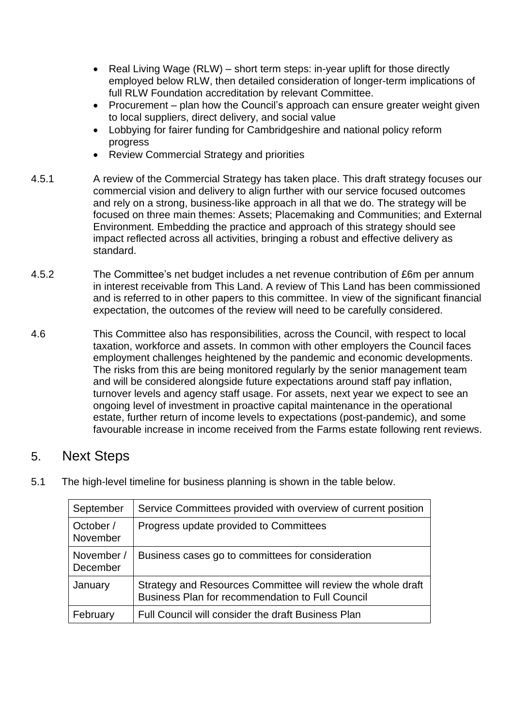- Real Living Wage (RLW) short term steps: in-year uplift for those directly employed below RLW, then detailed consideration of longer-term implications of full RLW Foundation accreditation by relevant Committee.
- Procurement plan how the Council's approach can ensure greater weight given to local suppliers, direct delivery, and social value
- Lobbying for fairer funding for Cambridgeshire and national policy reform progress
- Review Commercial Strategy and priorities
- 4.5.1 A review of the Commercial Strategy has taken place. This draft strategy focuses our commercial vision and delivery to align further with our service focused outcomes and rely on a strong, business-like approach in all that we do. The strategy will be focused on three main themes: Assets; Placemaking and Communities; and External Environment. Embedding the practice and approach of this strategy should see impact reflected across all activities, bringing a robust and effective delivery as standard.
- 4.5.2 The Committee's net budget includes a net revenue contribution of £6m per annum in interest receivable from This Land. A review of This Land has been commissioned and is referred to in other papers to this committee. In view of the significant financial expectation, the outcomes of the review will need to be carefully considered.
- 4.6 This Committee also has responsibilities, across the Council, with respect to local taxation, workforce and assets. In common with other employers the Council faces employment challenges heightened by the pandemic and economic developments. The risks from this are being monitored regularly by the senior management team and will be considered alongside future expectations around staff pay inflation, turnover levels and agency staff usage. For assets, next year we expect to see an ongoing level of investment in proactive capital maintenance in the operational estate, further return of income levels to expectations (post-pandemic), and some favourable increase in income received from the Farms estate following rent reviews.

#### 5. Next Steps

| 5.1 | The high-level timeline for business planning is shown in the table below. |  |  |
|-----|----------------------------------------------------------------------------|--|--|
|-----|----------------------------------------------------------------------------|--|--|

| September              | Service Committees provided with overview of current position                                                    |
|------------------------|------------------------------------------------------------------------------------------------------------------|
| October /<br>November  | Progress update provided to Committees                                                                           |
| November /<br>December | Business cases go to committees for consideration                                                                |
| January                | Strategy and Resources Committee will review the whole draft<br>Business Plan for recommendation to Full Council |
| February               | Full Council will consider the draft Business Plan                                                               |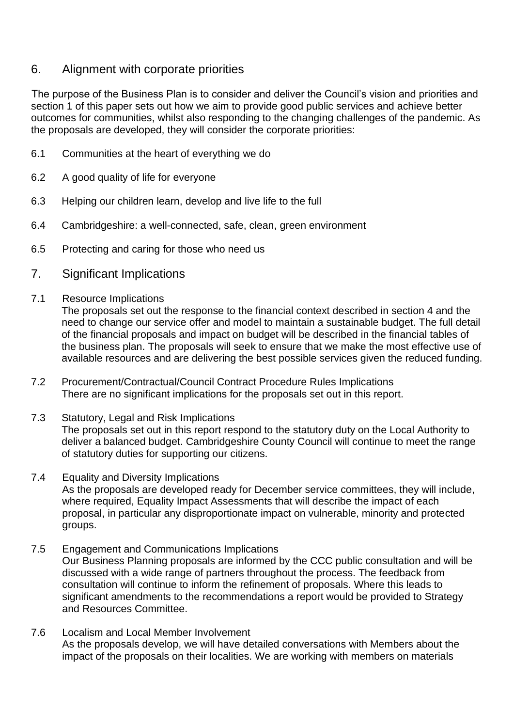#### 6. Alignment with corporate priorities

The purpose of the Business Plan is to consider and deliver the Council's vision and priorities and section 1 of this paper sets out how we aim to provide good public services and achieve better outcomes for communities, whilst also responding to the changing challenges of the pandemic. As the proposals are developed, they will consider the corporate priorities:

- 6.1 Communities at the heart of everything we do
- 6.2 A good quality of life for everyone
- 6.3 Helping our children learn, develop and live life to the full
- 6.4 Cambridgeshire: a well-connected, safe, clean, green environment
- 6.5 Protecting and caring for those who need us
- 7. Significant Implications
- 7.1 Resource Implications

The proposals set out the response to the financial context described in section 4 and the need to change our service offer and model to maintain a sustainable budget. The full detail of the financial proposals and impact on budget will be described in the financial tables of the business plan. The proposals will seek to ensure that we make the most effective use of available resources and are delivering the best possible services given the reduced funding.

- 7.2 Procurement/Contractual/Council Contract Procedure Rules Implications There are no significant implications for the proposals set out in this report.
- 7.3 Statutory, Legal and Risk Implications The proposals set out in this report respond to the statutory duty on the Local Authority to deliver a balanced budget. Cambridgeshire County Council will continue to meet the range of statutory duties for supporting our citizens.
- 7.4 Equality and Diversity Implications As the proposals are developed ready for December service committees, they will include, where required, Equality Impact Assessments that will describe the impact of each proposal, in particular any disproportionate impact on vulnerable, minority and protected groups.
- 7.5 Engagement and Communications Implications Our Business Planning proposals are informed by the CCC public consultation and will be discussed with a wide range of partners throughout the process. The feedback from consultation will continue to inform the refinement of proposals. Where this leads to significant amendments to the recommendations a report would be provided to Strategy and Resources Committee.
- 7.6 Localism and Local Member Involvement As the proposals develop, we will have detailed conversations with Members about the impact of the proposals on their localities. We are working with members on materials